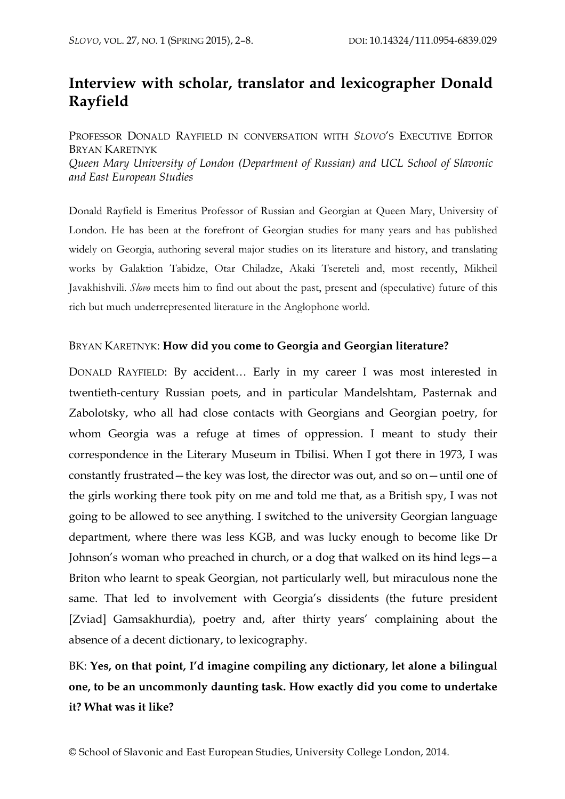# **Interview with scholar, translator and lexicographer Donald Rayfield**

PROFESSOR DONALD RAYFIELD IN CONVERSATION WITH *SLOVO*'S EXECUTIVE EDITOR BRYAN KARETNYK *Queen Mary University of London (Department of Russian) and UCL School of Slavonic and East European Studies*

Donald Rayfield is Emeritus Professor of Russian and Georgian at Queen Mary, University of London. He has been at the forefront of Georgian studies for many years and has published widely on Georgia, authoring several major studies on its literature and history, and translating works by Galaktion Tabidze, Otar Chiladze, Akaki Tsereteli and, most recently, Mikheil Javakhishvili. *Slovo* meets him to find out about the past, present and (speculative) future of this rich but much underrepresented literature in the Anglophone world.

#### BRYAN KARETNYK: **How did you come to Georgia and Georgian literature?**

DONALD RAYFIELD: By accident… Early in my career I was most interested in twentieth-century Russian poets, and in particular Mandelshtam, Pasternak and Zabolotsky, who all had close contacts with Georgians and Georgian poetry, for whom Georgia was a refuge at times of oppression. I meant to study their correspondence in the Literary Museum in Tbilisi. When I got there in 1973, I was constantly frustrated—the key was lost, the director was out, and so on—until one of the girls working there took pity on me and told me that, as a British spy, I was not going to be allowed to see anything. I switched to the university Georgian language department, where there was less KGB, and was lucky enough to become like Dr Johnson's woman who preached in church, or a dog that walked on its hind legs—a Briton who learnt to speak Georgian, not particularly well, but miraculous none the same. That led to involvement with Georgia's dissidents (the future president [Zviad] Gamsakhurdia), poetry and, after thirty years' complaining about the absence of a decent dictionary, to lexicography.

# BK: **Yes, on that point, I'd imagine compiling any dictionary, let alone a bilingual one, to be an uncommonly daunting task. How exactly did you come to undertake it? What was it like?**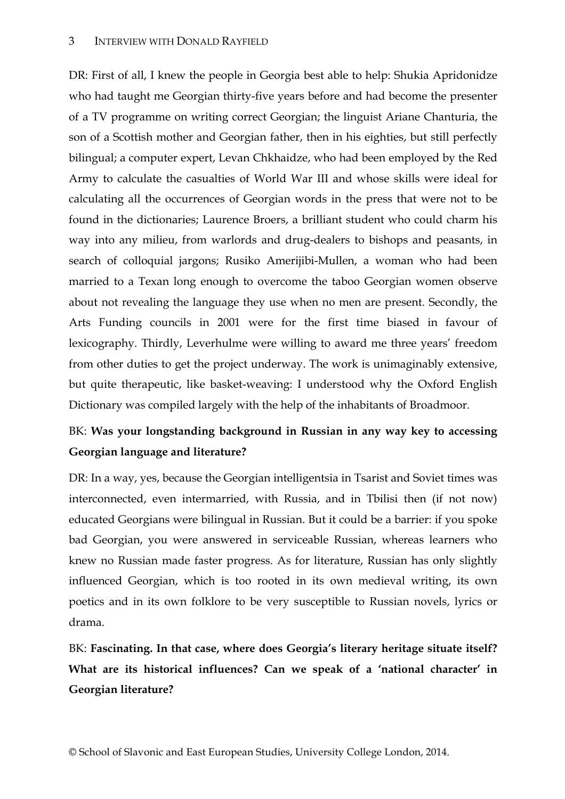DR: First of all, I knew the people in Georgia best able to help: Shukia Apridonidze who had taught me Georgian thirty-five years before and had become the presenter of a TV programme on writing correct Georgian; the linguist Ariane Chanturia, the son of a Scottish mother and Georgian father, then in his eighties, but still perfectly bilingual; a computer expert, Levan Chkhaidze, who had been employed by the Red Army to calculate the casualties of World War III and whose skills were ideal for calculating all the occurrences of Georgian words in the press that were not to be found in the dictionaries; Laurence Broers, a brilliant student who could charm his way into any milieu, from warlords and drug-dealers to bishops and peasants, in search of colloquial jargons; Rusiko Amerijibi-Mullen, a woman who had been married to a Texan long enough to overcome the taboo Georgian women observe about not revealing the language they use when no men are present. Secondly, the Arts Funding councils in 2001 were for the first time biased in favour of lexicography. Thirdly, Leverhulme were willing to award me three years' freedom from other duties to get the project underway. The work is unimaginably extensive, but quite therapeutic, like basket-weaving: I understood why the Oxford English Dictionary was compiled largely with the help of the inhabitants of Broadmoor.

#### BK: **Was your longstanding background in Russian in any way key to accessing Georgian language and literature?**

DR: In a way, yes, because the Georgian intelligentsia in Tsarist and Soviet times was interconnected, even intermarried, with Russia, and in Tbilisi then (if not now) educated Georgians were bilingual in Russian. But it could be a barrier: if you spoke bad Georgian, you were answered in serviceable Russian, whereas learners who knew no Russian made faster progress. As for literature, Russian has only slightly influenced Georgian, which is too rooted in its own medieval writing, its own poetics and in its own folklore to be very susceptible to Russian novels, lyrics or drama.

BK: **Fascinating. In that case, where does Georgia's literary heritage situate itself? What are its historical influences? Can we speak of a 'national character' in Georgian literature?**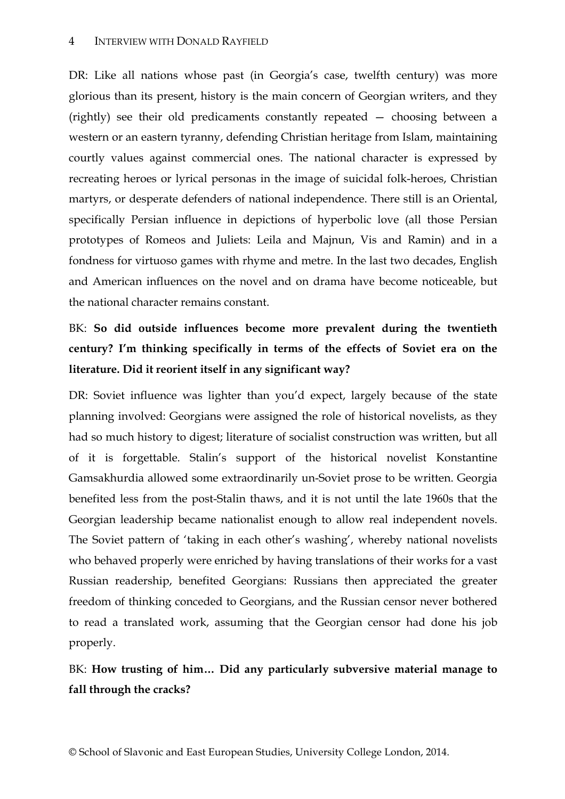DR: Like all nations whose past (in Georgia's case, twelfth century) was more glorious than its present, history is the main concern of Georgian writers, and they (rightly) see their old predicaments constantly repeated — choosing between a western or an eastern tyranny, defending Christian heritage from Islam, maintaining courtly values against commercial ones. The national character is expressed by recreating heroes or lyrical personas in the image of suicidal folk-heroes, Christian martyrs, or desperate defenders of national independence. There still is an Oriental, specifically Persian influence in depictions of hyperbolic love (all those Persian prototypes of Romeos and Juliets: Leila and Majnun, Vis and Ramin) and in a fondness for virtuoso games with rhyme and metre. In the last two decades, English and American influences on the novel and on drama have become noticeable, but the national character remains constant.

### BK: **So did outside influences become more prevalent during the twentieth century? I'm thinking specifically in terms of the effects of Soviet era on the literature. Did it reorient itself in any significant way?**

DR: Soviet influence was lighter than you'd expect, largely because of the state planning involved: Georgians were assigned the role of historical novelists, as they had so much history to digest; literature of socialist construction was written, but all of it is forgettable. Stalin's support of the historical novelist Konstantine Gamsakhurdia allowed some extraordinarily un-Soviet prose to be written. Georgia benefited less from the post-Stalin thaws, and it is not until the late 1960s that the Georgian leadership became nationalist enough to allow real independent novels. The Soviet pattern of 'taking in each other's washing', whereby national novelists who behaved properly were enriched by having translations of their works for a vast Russian readership, benefited Georgians: Russians then appreciated the greater freedom of thinking conceded to Georgians, and the Russian censor never bothered to read a translated work, assuming that the Georgian censor had done his job properly.

#### BK: **How trusting of him… Did any particularly subversive material manage to fall through the cracks?**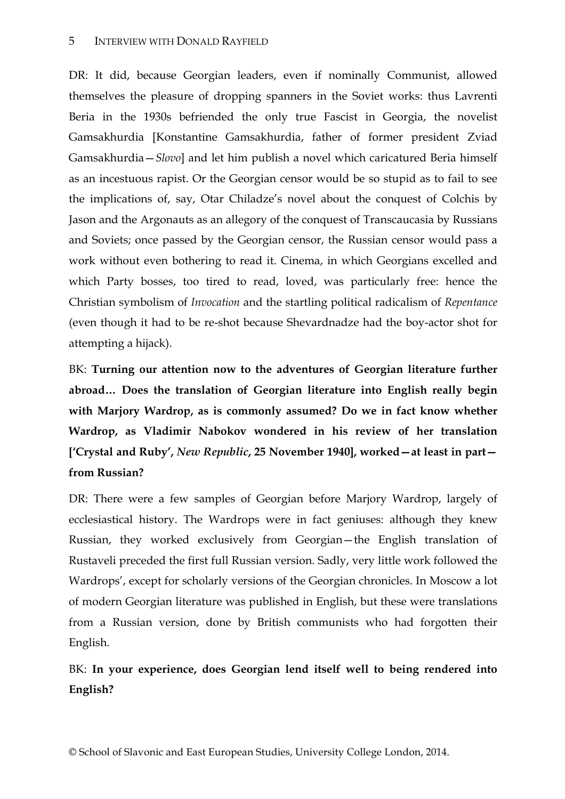DR: It did, because Georgian leaders, even if nominally Communist, allowed themselves the pleasure of dropping spanners in the Soviet works: thus Lavrenti Beria in the 1930s befriended the only true Fascist in Georgia, the novelist Gamsakhurdia [Konstantine Gamsakhurdia, father of former president Zviad Gamsakhurdia—*Slovo*] and let him publish a novel which caricatured Beria himself as an incestuous rapist. Or the Georgian censor would be so stupid as to fail to see the implications of, say, Otar Chiladze's novel about the conquest of Colchis by Jason and the Argonauts as an allegory of the conquest of Transcaucasia by Russians and Soviets; once passed by the Georgian censor, the Russian censor would pass a work without even bothering to read it. Cinema, in which Georgians excelled and which Party bosses, too tired to read, loved, was particularly free: hence the Christian symbolism of *Invocation* and the startling political radicalism of *Repentance* (even though it had to be re-shot because Shevardnadze had the boy-actor shot for attempting a hijack).

BK: **Turning our attention now to the adventures of Georgian literature further abroad… Does the translation of Georgian literature into English really begin with Marjory Wardrop, as is commonly assumed? Do we in fact know whether Wardrop, as Vladimir Nabokov wondered in his review of her translation ['Crystal and Ruby',** *New Republic***, 25 November 1940], worked—at least in part from Russian?**

DR: There were a few samples of Georgian before Marjory Wardrop, largely of ecclesiastical history. The Wardrops were in fact geniuses: although they knew Russian, they worked exclusively from Georgian—the English translation of Rustaveli preceded the first full Russian version. Sadly, very little work followed the Wardrops', except for scholarly versions of the Georgian chronicles. In Moscow a lot of modern Georgian literature was published in English, but these were translations from a Russian version, done by British communists who had forgotten their English.

BK: **In your experience, does Georgian lend itself well to being rendered into English?**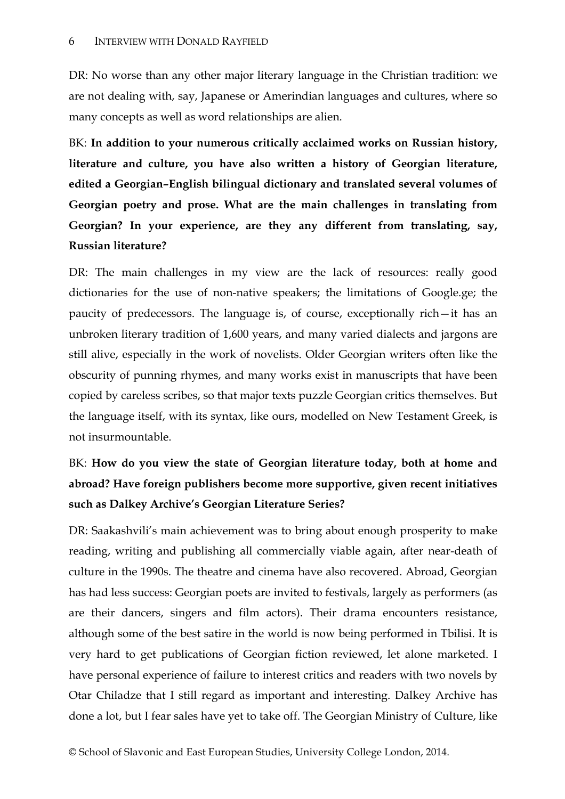DR: No worse than any other major literary language in the Christian tradition: we are not dealing with, say, Japanese or Amerindian languages and cultures, where so many concepts as well as word relationships are alien.

BK: **In addition to your numerous critically acclaimed works on Russian history, literature and culture, you have also written a history of Georgian literature, edited a Georgian–English bilingual dictionary and translated several volumes of Georgian poetry and prose. What are the main challenges in translating from Georgian? In your experience, are they any different from translating, say, Russian literature?**

DR: The main challenges in my view are the lack of resources: really good dictionaries for the use of non-native speakers; the limitations of Google.ge; the paucity of predecessors. The language is, of course, exceptionally rich—it has an unbroken literary tradition of 1,600 years, and many varied dialects and jargons are still alive, especially in the work of novelists. Older Georgian writers often like the obscurity of punning rhymes, and many works exist in manuscripts that have been copied by careless scribes, so that major texts puzzle Georgian critics themselves. But the language itself, with its syntax, like ours, modelled on New Testament Greek, is not insurmountable.

### BK: **How do you view the state of Georgian literature today, both at home and abroad? Have foreign publishers become more supportive, given recent initiatives such as Dalkey Archive's Georgian Literature Series?**

DR: Saakashvili's main achievement was to bring about enough prosperity to make reading, writing and publishing all commercially viable again, after near-death of culture in the 1990s. The theatre and cinema have also recovered. Abroad, Georgian has had less success: Georgian poets are invited to festivals, largely as performers (as are their dancers, singers and film actors). Their drama encounters resistance, although some of the best satire in the world is now being performed in Tbilisi. It is very hard to get publications of Georgian fiction reviewed, let alone marketed. I have personal experience of failure to interest critics and readers with two novels by Otar Chiladze that I still regard as important and interesting. Dalkey Archive has done a lot, but I fear sales have yet to take off. The Georgian Ministry of Culture, like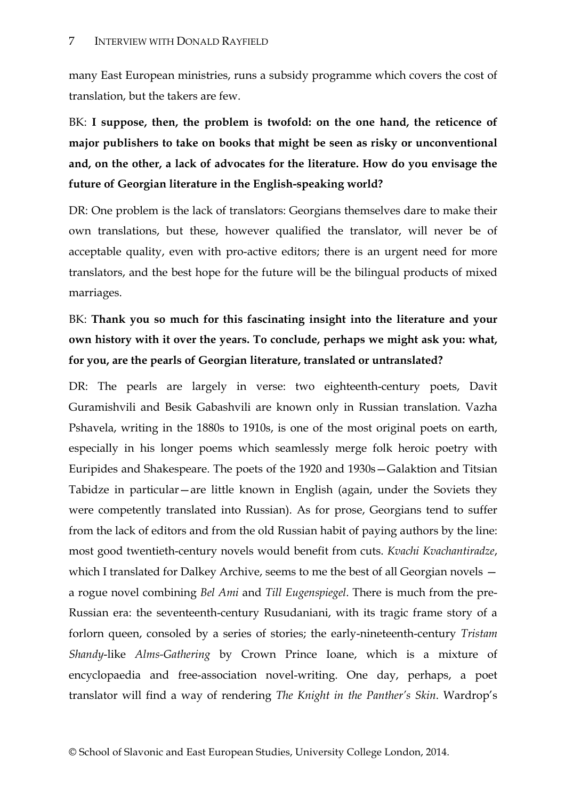many East European ministries, runs a subsidy programme which covers the cost of translation, but the takers are few.

BK: **I suppose, then, the problem is twofold: on the one hand, the reticence of major publishers to take on books that might be seen as risky or unconventional and, on the other, a lack of advocates for the literature. How do you envisage the future of Georgian literature in the English-speaking world?**

DR: One problem is the lack of translators: Georgians themselves dare to make their own translations, but these, however qualified the translator, will never be of acceptable quality, even with pro-active editors; there is an urgent need for more translators, and the best hope for the future will be the bilingual products of mixed marriages.

# BK: **Thank you so much for this fascinating insight into the literature and your own history with it over the years. To conclude, perhaps we might ask you: what, for you, are the pearls of Georgian literature, translated or untranslated?**

DR: The pearls are largely in verse: two eighteenth-century poets, Davit Guramishvili and Besik Gabashvili are known only in Russian translation. Vazha Pshavela, writing in the 1880s to 1910s, is one of the most original poets on earth, especially in his longer poems which seamlessly merge folk heroic poetry with Euripides and Shakespeare. The poets of the 1920 and 1930s—Galaktion and Titsian Tabidze in particular—are little known in English (again, under the Soviets they were competently translated into Russian). As for prose, Georgians tend to suffer from the lack of editors and from the old Russian habit of paying authors by the line: most good twentieth-century novels would benefit from cuts. *Kvachi Kvachantiradze*, which I translated for Dalkey Archive, seems to me the best of all Georgian novels  $$ a rogue novel combining *Bel Ami* and *Till Eugenspiegel*. There is much from the pre-Russian era: the seventeenth-century Rusudaniani, with its tragic frame story of a forlorn queen, consoled by a series of stories; the early-nineteenth-century *Tristam Shandy*-like *Alms-Gathering* by Crown Prince Ioane, which is a mixture of encyclopaedia and free-association novel-writing. One day, perhaps, a poet translator will find a way of rendering *The Knight in the Panther's Skin*. Wardrop's